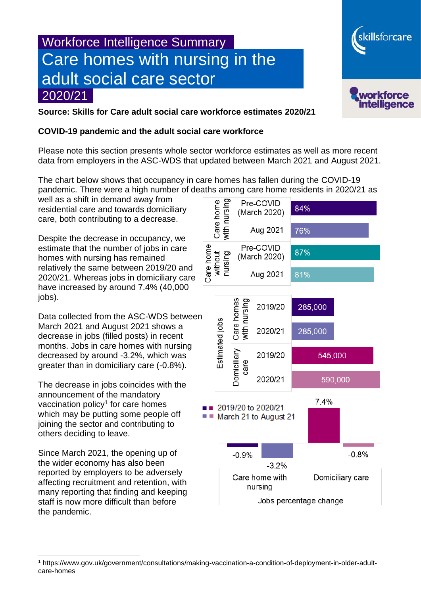# Workforce Intelligence Summary Care homes with nursing in the adult social care sector 2020/21



skillsforcare

**Source: Skills for Care adult social care workforce estimates 2020/21**

#### **COVID-19 pandemic and the adult social care workforce**

Please note this section presents whole sector workforce estimates as well as more recent data from employers in the ASC-WDS that updated between March 2021 and August 2021.

The chart below shows that occupancy in care homes has fallen during the COVID-19

well as a shift in demand away from residential care and towards domiciliary care, both contributing to a decrease.

Despite the decrease in occupancy, we estimate that the number of jobs in care homes with nursing has remained relatively the same between 2019/20 and 2020/21. Whereas jobs in domiciliary care have increased by around 7.4% (40,000 jobs).

Data collected from the ASC-WDS between March 2021 and August 2021 shows a decrease in jobs (filled posts) in recent months. Jobs in care homes with nursing decreased by around -3.2%, which was greater than in domiciliary care (-0.8%).

The decrease in jobs coincides with the announcement of the mandatory vaccination policy<sup>1</sup> for care homes which may be putting some people off joining the sector and contributing to others deciding to leave.

Since March 2021, the opening up of the wider economy has also been reported by employers to be adversely affecting recruitment and retention, with many reporting that finding and keeping staff is now more difficult than before the pandemic.



<sup>1</sup> https://www.gov.uk/government/consultations/making-vaccination-a-condition-of-deployment-in-older-adultcare-homes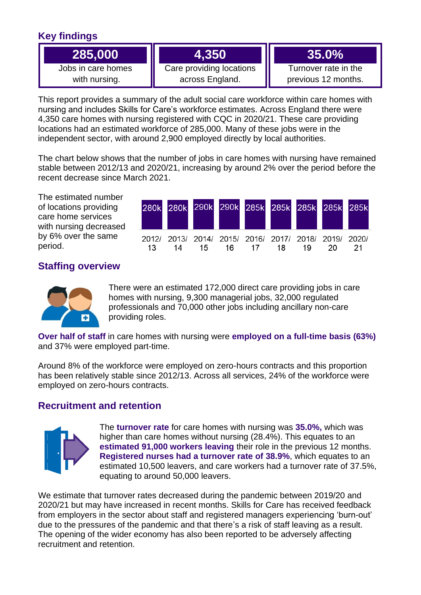# **Key findings**

| 285.000            |                          |                      |  |  |
|--------------------|--------------------------|----------------------|--|--|
| Jobs in care homes | Care providing locations | Turnover rate in the |  |  |

with nursing.

Care providing locations across England.

Turnover rate in the previous 12 months.

This report provides a summary of the adult social care workforce within care homes with nursing and includes Skills for Care's workforce estimates. Across England there were 4,350 care homes with nursing registered with CQC in 2020/21. These care providing locations had an estimated workforce of 285,000. Many of these jobs were in the independent sector, with around 2,900 employed directly by local authorities.

The chart below shows that the number of jobs in care homes with nursing have remained stable between 2012/13 and 2020/21, increasing by around 2% over the period before the recent decrease since March 2021.

The estimated number of locations providing care home services with nursing decreased by 6% over the same period.



## **Staffing overview**



There were an estimated 172,000 direct care providing jobs in care homes with nursing, 9,300 managerial jobs, 32,000 regulated professionals and 70,000 other jobs including ancillary non-care providing roles.

**Over half of staff** in care homes with nursing were **employed on a full-time basis (63%)** and 37% were employed part-time.

Around 8% of the workforce were employed on zero-hours contracts and this proportion has been relatively stable since 2012/13. Across all services, 24% of the workforce were employed on zero-hours contracts.

## **Recruitment and retention**



The **turnover rate** for care homes with nursing was **35.0%,** which was higher than care homes without nursing (28.4%). This equates to an **estimated 91,000 workers leaving** their role in the previous 12 months. **Registered nurses had a turnover rate of 38.9%**, which equates to an estimated 10,500 leavers, and care workers had a turnover rate of 37.5%, equating to around 50,000 leavers.

We estimate that turnover rates decreased during the pandemic between 2019/20 and 2020/21 but may have increased in recent months. Skills for Care has received feedback from employers in the sector about staff and registered managers experiencing 'burn-out' due to the pressures of the pandemic and that there's a risk of staff leaving as a result. The opening of the wider economy has also been reported to be adversely affecting recruitment and retention.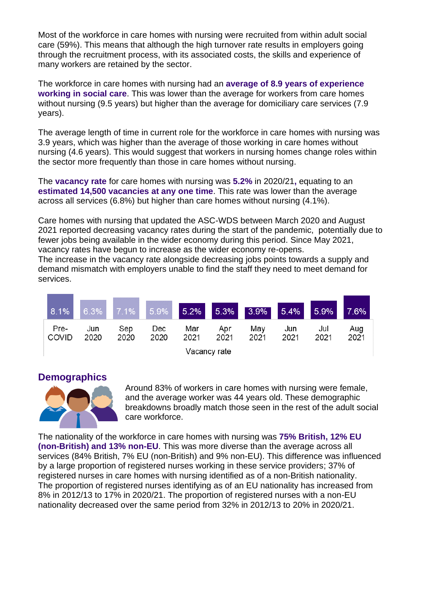Most of the workforce in care homes with nursing were recruited from within adult social care (59%). This means that although the high turnover rate results in employers going through the recruitment process, with its associated costs, the skills and experience of many workers are retained by the sector.

The workforce in care homes with nursing had an **average of 8.9 years of experience working in social care**. This was lower than the average for workers from care homes without nursing (9.5 years) but higher than the average for domiciliary care services (7.9 years).

The average length of time in current role for the workforce in care homes with nursing was 3.9 years, which was higher than the average of those working in care homes without nursing (4.6 years). This would suggest that workers in nursing homes change roles within the sector more frequently than those in care homes without nursing.

The **vacancy rate** for care homes with nursing was **5.2%** in 2020/21**,** equating to an **estimated 14,500 vacancies at any one time**. This rate was lower than the average across all services (6.8%) but higher than care homes without nursing (4.1%).

Care homes with nursing that updated the ASC-WDS between March 2020 and August 2021 reported decreasing vacancy rates during the start of the pandemic, potentially due to fewer jobs being available in the wider economy during this period. Since May 2021, vacancy rates have begun to increase as the wider economy re-opens.

The increase in the vacancy rate alongside decreasing jobs points towards a supply and demand mismatch with employers unable to find the staff they need to meet demand for services.

| 8.1%                 | 6.3%        | 7.1%        |             |             |             | 5.9% 5.2% 5.3% 3.9% 5.4% |             | 5.9%        | 7.6%        |
|----------------------|-------------|-------------|-------------|-------------|-------------|--------------------------|-------------|-------------|-------------|
| Pre-<br><b>COVID</b> | Jun<br>2020 | Sep<br>2020 | Dec<br>2020 | Mar<br>2021 | Apr<br>2021 | May<br>2021              | Jun<br>2021 | Jul<br>2021 | Aug<br>2021 |
| Vacancy rate         |             |             |             |             |             |                          |             |             |             |

### **Demographics**



Around 83% of workers in care homes with nursing were female, and the average worker was 44 years old. These demographic breakdowns broadly match those seen in the rest of the adult social care workforce.

The nationality of the workforce in care homes with nursing was **75% British, 12% EU (non-British) and 13% non-EU**. This was more diverse than the average across all services (84% British, 7% EU (non-British) and 9% non-EU). This difference was influenced by a large proportion of registered nurses working in these service providers; 37% of registered nurses in care homes with nursing identified as of a non-British nationality. The proportion of registered nurses identifying as of an EU nationality has increased from 8% in 2012/13 to 17% in 2020/21. The proportion of registered nurses with a non-EU nationality decreased over the same period from 32% in 2012/13 to 20% in 2020/21.